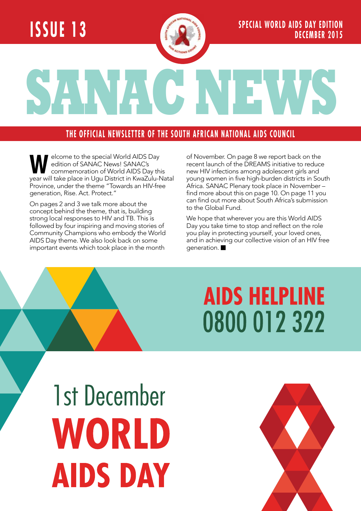### **Issue 13**



**SANAC NEWS**

#### **THE OFFICIAL NEWSLETTER OF THE SOUTH AFRICAN NATIONAL AIDS COUNCIL**

**WELCOME TO the special World AIDS Day<br>
commemoration of World AIDS Day this**<br>
vear will take place in Hou District in KwaZulu-Na edition of SANAC News! SANAC's year will take place in Ugu District in KwaZulu-Natal Province, under the theme "Towards an HIV-free generation, Rise. Act. Protect."

On pages 2 and 3 we talk more about the concept behind the theme, that is, building strong local responses to HIV and TB. This is followed by four inspiring and moving stories of Community Champions who embody the World AIDS Day theme. We also look back on some important events which took place in the month

of November. On page 8 we report back on the recent launch of the DREAMS initiative to reduce new HIV infections among adolescent girls and young women in five high-burden districts in South Africa. SANAC Plenary took place in November – find more about this on page 10. On page 11 you can find out more about South Africa's submission to the Global Fund.

We hope that wherever you are this World AIDS Day you take time to stop and reflect on the role you play in protecting yourself, your loved ones, and in achieving our collective vision of an HIV free generation.

## **AIDS HELPLINE** 0800 012 322

1st December WORLD **AIDS DAY** 

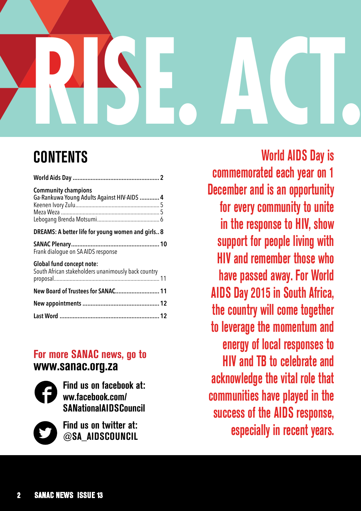## **SANAC NEWS** RISE. ACT.

#### **CONTENTS**

| <b>Community champions</b><br>Ga-Rankuwa Young Adults Against HIV-AIDS  4               |  |
|-----------------------------------------------------------------------------------------|--|
| DREAMS: A better life for young women and girls 8                                       |  |
| Frank dialogue on SA AIDS response                                                      |  |
| <b>Global fund concept note:</b><br>South African stakeholders unanimously back country |  |
| New Board of Trustees for SANAC 11                                                      |  |
|                                                                                         |  |
|                                                                                         |  |
|                                                                                         |  |

#### **For more SANAC news, go to www.sanac.org.za**



**Find us on facebook at: ww.facebook.com/ SANationalAIDSCouncil**



**Find us on twitter at: @SA\_AIDSCOUNCIL**

**World AIDS Day is commemorated each year on 1 December and is an opportunity for every community to unite in the response to HIV, show support for people living with HIV and remember those who have passed away. For World AIDS Day 2015 in South Africa, the country will come together to leverage the momentum and energy of local responses to HIV and TB to celebrate and acknowledge the vital role that communities have played in the success of the AIDS response, especially in recent years.**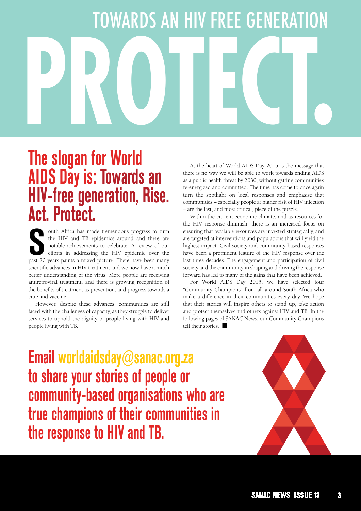## **Rise. Act. Protect** TOWARDS AN HIV FREE GENERATION **RISE. ACT. PROTECT.** TOWARDS AN HIV FREE GENERATION

#### **The slogan for World AIDS Day is: Towards an HIV-free generation, Rise. Act. Protect.**

outh Africa has made tremendous progress to turn<br>the HIV and TB epidemics around and there are<br>notable achievements to celebrate. A review of our<br>efforts in addressing the HIV epidemic over the<br>past 20 years paints a mixed outh Africa has made tremendous progress to turn the HIV and TB epidemics around and there are notable achievements to celebrate. A review of our efforts in addressing the HIV epidemic over the scientific advances in HIV treatment and we now have a much better understanding of the virus. More people are receiving antiretroviral treatment, and there is growing recognition of the benefits of treatment as prevention, and progress towards a cure and vaccine.

However, despite these advances, communities are still faced with the challenges of capacity, as they struggle to deliver services to uphold the dignity of people living with HIV and people living with TB.

At the heart of World AIDS Day 2015 is the message that there is no way we will be able to work towards ending AIDS as a public health threat by 2030, without getting communities re-energized and committed. The time has come to once again turn the spotlight on local responses and emphasise that communities – especially people at higher risk of HIV infection – are the last, and most critical, piece of the puzzle.

Within the current economic climate, and as resources for the HIV response diminish, there is an increased focus on ensuring that available resources are invested strategically, and are targeted at interventions and populations that will yield the highest impact. Civil society and community-based responses have been a prominent feature of the HIV response over the last three decades. The engagement and participation of civil society and the community in shaping and driving the response forward has led to many of the gains that have been achieved.

For World AIDS Day 2015, we have selected four "Community Champions" from all around South Africa who make a difference in their communities every day. We hope that their stories will inspire others to stand up, take action and protect themselves and others against HIV and TB. In the following pages of SANAC News, our Community Champions tell their stories.

**Email worldaidsday@sanac.org.za to share your stories of people or community-based organisations who are true champions of their communities in the response to HIV and TB.** 

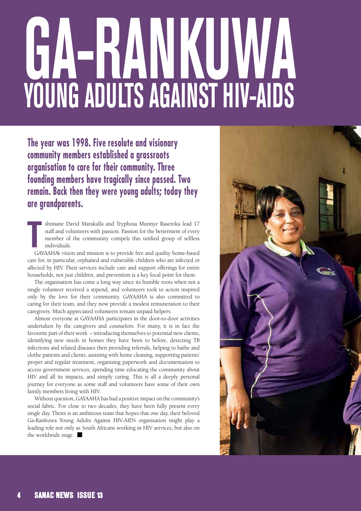# **GA-RANKU Young Adults Against HIV-AIDS**

**The year was 1998. Five resolute and visionary community members established a grassroots organisation to care for their community. Three founding members have tragically since passed. Two remain. Back then they were young adults; today they are grandparents.** 

**T**<br>
GA shimane David Marakalla and Tryphosa Munnye Raseroka lead 17 staff and volunteers with passion. Passion for the betterment of every member of the community compels this unified group of selfless individuals.

GAYAAHA's vision and mission is to provide free and quality home-based care for, in particular, orphaned and vulnerable children who are infected or affected by HIV. Their services include care and support offerings for entire households, not just children, and prevention is a key focal point for them.

The organisation has come a long way since its humble roots when not a single volunteer received a stipend, and volunteers took to action inspired only by the love for their community. GAYAAHA is also committed to caring for their team, and they now provide a modest remuneration to their caregivers. Much appreciated volunteers remain unpaid helpers.

Almost everyone at GAYAAHA participates in the door-to-door activities undertaken by the caregivers and counselors. For many, it is in fact the favourite part of their work − introducing themselves to potential new clients, identifying new needs in homes they have been to before, detecting TB infections and related diseases then providing referrals, helping to bathe and clothe patients and clients, assisting with home cleaning, supporting patients' proper and regular treatment, organising paperwork and documentation to access government services, spending time educating the community about HIV and all its impacts, and simply caring. This is all a deeply personal journey for everyone as some staff and volunteers have some of their own family members living with HIV.

Without question, GAYAAHA has had a positive impact on the community's social fabric. For close to two decades, they have been fully present every single day. Theirs is an ambitious team that hopes that one day, their beloved Ga-Rankuwa Young Adults Against HIV-AIDS organisation might play a leading role not only as South Africans working in HIV services, but also on the worldwide stage.  $\blacksquare$ 

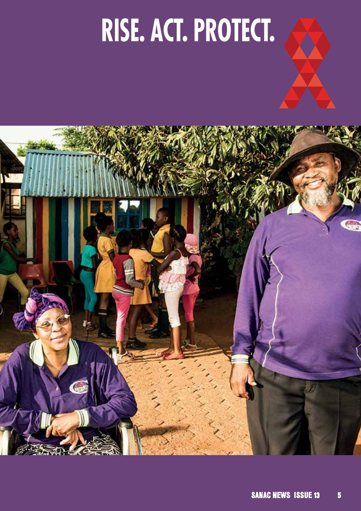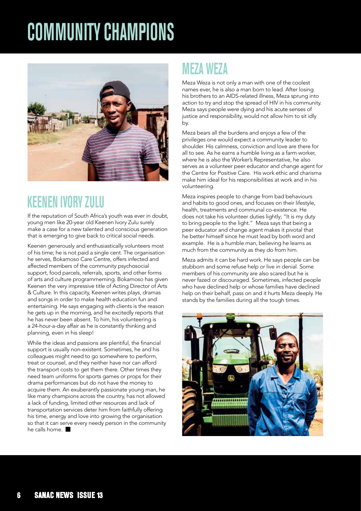## **COMMUNITY CHAMPIONS**



#### **Keenen Ivory Zulu**

If the reputation of South Africa's youth was ever in doubt, young men like 20-year old Keenen Ivory Zulu surely make a case for a new talented and conscious generation that is emerging to give back to critical social needs.

Keenen generously and enthusiastically volunteers most of his time; he is not paid a single cent. The organisation he serves, Bokamoso Care Centre, offers infected and affected members of the community psychosocial support, food parcels, referrals, sports, and other forms of arts and culture programmeming. Bokamoso has given Keenen the very impressive title of Acting Director of Arts & Culture. In this capacity, Keenen writes plays, dramas and songs in order to make health education fun and entertaining. He says engaging with clients is the reason he gets up in the morning, and he excitedly reports that he has never been absent. To him, his volunteering is a 24-hour-a-day affair as he is constantly thinking and planning, even in his sleep!

While the ideas and passions are plentiful, the financial support is usually non-existent. Sometimes, he and his colleagues might need to go somewhere to perform, treat or counsel, and they neither have nor can afford the transport costs to get them there. Other times they need team uniforms for sports games or props for their drama performances but do not have the money to acquire them. An exuberantly passionate young man, he like many champions across the country, has not allowed a lack of funding, limited other resources and lack of transportation services deter him from faithfully offering his time, energy and love into growing the organisation so that it can serve every needy person in the community he calls home.  $\blacksquare$ 

#### **Meza Weza**

Meza Weza is not only a man with one of the coolest names ever, he is also a man born to lead. After losing his brothers to an AIDS-related illness, Meza sprung into action to try and stop the spread of HIV in his community. Meza says people were dying and his acute senses of justice and responsibility, would not allow him to sit idly by.

Meza bears all the burdens and enjoys a few of the privileges one would expect a community leader to shoulder. His calmness, conviction and love are there for all to see. As he earns a humble living as a farm worker, where he is also the Worker's Representative, he also serves as a volunteer peer educator and change agent for the Centre for Positive Care. His work ethic and charisma make him ideal for his responsibilities at work and in his volunteering.

Meza inspires people to change from bad behaviours and habits to good ones, and focuses on their lifestyle, health, treatments and communal co-existence. He does not take his volunteer duties lightly; "It is my duty to bring people to the light." Meza says that being a peer educator and change agent makes it pivotal that he better himself since he must lead by both word and example. He is a humble man, believing he learns as much from the community as they do from him.

Meza admits it can be hard work. He says people can be stubborn and some refuse help or live in denial. Some members of his community are also scared but he is never fazed or discouraged. Sometimes, infected people who have declined help or whose families have declined help on their behalf, pass on and it hurts Meza deeply. He stands by the families during all the tough times.

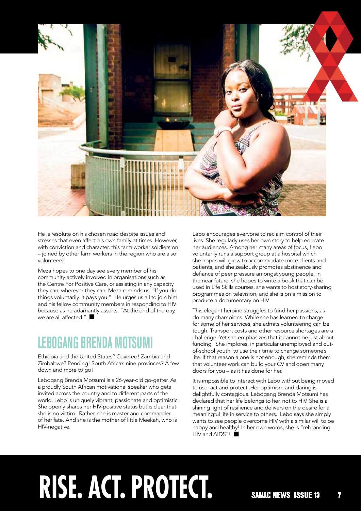

He is resolute on his chosen road despite issues and stresses that even affect his own family at times. However, with conviction and character, this farm worker soldiers on – joined by other farm workers in the region who are also volunteers.

Meza hopes to one day see every member of his community actively involved in organisations such as the Centre For Positive Care, or assisting in any capacity they can, wherever they can. Meza reminds us; "If you do things voluntarily, it pays you." He urges us all to join him and his fellow community members in responding to HIV because as he adamantly asserts, "At the end of the day, we are all affected." $\blacksquare$ 

#### **Lebogang Brenda Motsumi**

Ethiopia and the United States? Covered! Zambia and Zimbabwe? Pending! South Africa's nine provinces? A few down and more to go!

Lebogang Brenda Motsumi is a 26-year-old go-getter. As a proudly South African motivational speaker who gets invited across the country and to different parts of the world, Lebo is uniquely vibrant, passionate and optimistic. She openly shares her HIV-positive status but is clear that she is no victim. Rather, she is master and commander of her fate. And she is the mother of little Meekah, who is HIV-negative.

Lebo encourages everyone to reclaim control of their lives. She regularly uses her own story to help educate her audiences. Among her many areas of focus, Lebo voluntarily runs a support group at a hospital which she hopes will grow to accommodate more clients and patients, and she zealously promotes abstinence and defiance of peer pressure amongst young people. In the near future, she hopes to write a book that can be used in Life Skills courses, she wants to host story-sharing programmes on television, and she is on a mission to produce a documentary on HIV.

This elegant heroine struggles to fund her passions, as do many champions. While she has learned to charge for some of her services, she admits volunteering can be tough. Transport costs and other resource shortages are a challenge. Yet she emphasizes that it cannot be just about funding. She implores, in particular unemployed and outof-school youth, to use their time to change someone's life. If that reason alone is not enough, she reminds them that volunteer work can build your CV and open many doors for you – as it has done for her.

It is impossible to interact with Lebo without being moved to rise, act and protect. Her optimism and daring is delightfully contagious. Lebogang Brenda Motsumi has declared that her life belongs to her, not to HIV. She is a shining light of resilience and delivers on the desire for a meaningful life in service to others. Lebo says she simply wants to see people overcome HIV with a similar will to be happy and healthy! In her own words, she is "rebranding  $HIV$  and  $AIDS''!$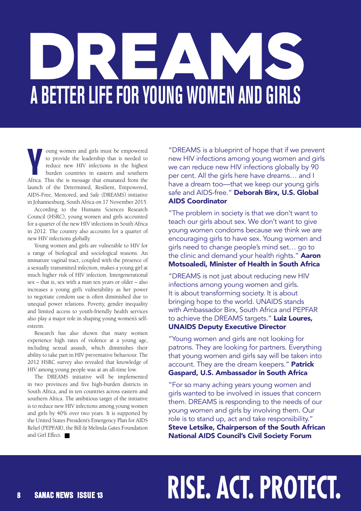# **A better life for young women and girls**

**Y** oung women and girls must be empowered to provide the leadership that is needed to reduce new HIV infections in the highest burden countries in eastern and southern Africa. This the is message that emanated from the oung women and girls must be empowered to provide the leadership that is needed to reduce new HIV infections in the highest burden countries in eastern and southern launch of the Determined, Resilient, Empowered, AIDS-Free, Mentored, and Safe (DREAMS) initiative in Johannesburg, South Africa on 17 November 2015.

According to the Humans Sciences Research Council (HSRC), young women and girls accounted for a quarter of the new HIV infections in South Africa in 2012. The country also accounts for a quarter of new HIV infections globally.

Young women and girls are vulnerable to HIV for a range of biological and sociological reasons. An immature vaginal tract, coupled with the presence of a sexually transmitted infection, makes a young girl at much higher risk of HIV infection. Intergenerational sex – that is, sex with a man ten years or older – also increases a young girl's vulnerability as her power to negotiate condom use is often diminished due to unequal power relations. Poverty, gender inequality and limited access to youth-friendly health services also play a major role in shaping young women's selfesteem.

Research has also shown that many women experience high rates of violence at a young age, including sexual assault, which diminishes their ability to take part in HIV preventative behaviour. The 2012 HSRC survey also revealed that knowledge of HIV among young people was at an all-time low.

The DREAMS initiative will be implemented in two provinces and five high-burden districts in South Africa, and in ten countries across eastern and southern Africa. The ambitious target of the initiative is to reduce new HIV infections among young women and girls by 40% over two years. It is supported by the United States President's Emergency Plan for AIDS Relief (PEPFAR), the Bill & Melinda Gates Foundation and Girl Effect.

"DREAMS is a blueprint of hope that if we prevent new HIV infections among young women and girls we can reduce new HIV infections globally by 90 per cent. All the girls here have dreams… and I have a dream too—that we keep our young girls safe and AIDS-free." Deborah Birx, U.S. Global AIDS Coordinator

"The problem in society is that we don't want to teach our girls about sex. We don't want to give young women condoms because we think we are encouraging girls to have sex. Young women and girls need to change people's mind set… go to the clinic and demand your health rights." Aaron Motsoaledi, Minister of Health in South Africa

"DREAMS is not just about reducing new HIV infections among young women and girls. It is about transforming society. It is about bringing hope to the world. UNAIDS stands with Ambassador Birx, South Africa and PEPFAR to achieve the DREAMS targets." Luiz Loures, UNAIDS Deputy Executive Director

"Young women and girls are not looking for patrons. They are looking for partners. Everything that young women and girls say will be taken into account. They are the dream keepers." Patrick Gaspard, U.S. Ambassador in South Africa

"For so many aching years young women and girls wanted to be involved in issues that concern them. DREAMS is responding to the needs of our young women and girls by involving them. Our role is to stand up, act and take responsibility." Steve Letsike, Chairperson of the South African National AIDS Council's Civil Society Forum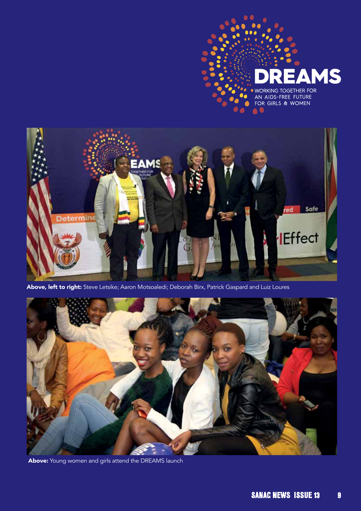

Above, left to right: Steve Letsike; Aaron Motsoaledi; Deborah Birx, Patrick Gaspard and Luiz Loures



Above: Young women and girls attend the DREAMS launch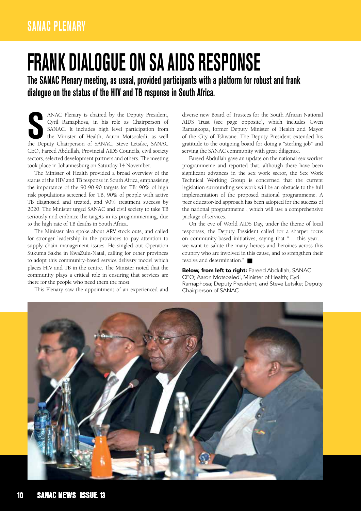## **frank dialogue on SA AIDS response**

**The SANAC Plenary meeting, as usual, provided participants with a platform for robust and frank dialogue on the status of the HIV and TB response in South Africa.** 

ANAC Plenary is chaired by the Deputy President, Cyril Ramaphosa, in his role as Chairperson of SANAC. It includes high level participation from the Minister of Health, Aaron Motsoaledi, as well the Deputy Chairperson of S ANAC Plenary is chaired by the Deputy President, Cyril Ramaphosa, in his role as Chairperson of SANAC. It includes high level participation from the Minister of Health, Aaron Motsoaledi, as well CEO, Fareed Abdullah, Provincial AIDS Councils, civil society sectors, selected development partners and others. The meeting took place in Johannesburg on Saturday 14 November.

The Minister of Health provided a broad overview of the status of the HIV and TB response in South Africa, emphasising the importance of the 90-90-90 targets for TB: 90% of high risk populations screened for TB, 90% of people with active TB diagnosed and treated, and 90% treatment success by 2020. The Minister urged SANAC and civil society to take TB seriously and embrace the targets in its programmeming, due to the high rate of TB deaths in South Africa.

The Minister also spoke about ARV stock outs, and called for stronger leadership in the provinces to pay attention to supply chain management issues. He singled out Operation Sukuma Sakhe in KwaZulu-Natal, calling for other provinces to adopt this community-based service delivery model which places HIV and TB in the centre. The Minister noted that the community plays a critical role in ensuring that services are there for the people who need them the most.

This Plenary saw the appointment of an experienced and

diverse new Board of Trustees for the South African National AIDS Trust (see page opposite), which includes Gwen Ramagkopa, former Deputy Minister of Health and Mayor of the City of Tshwane. The Deputy President extended his gratitude to the outgoing board for doing a "sterling job" and serving the SANAC community with great diligence.

Fareed Abdullah gave an update on the national sex worker programmeme and reported that, although there have been significant advances in the sex work sector, the Sex Work Technical Working Group is concerned that the current legislation surrounding sex work will be an obstacle to the full implementation of the proposed national programmeme. A peer educator-led approach has been adopted for the success of the national programmeme , which will use a comprehensive package of services.

On the eve of World AIDS Day, under the theme of local responses, the Deputy President called for a sharper focus on community-based initiatives, saying that "… this year… we want to salute the many heroes and heroines across this country who are involved in this cause, and to strengthen their resolve and determination."

Below, from left to right: Fareed Abdullah, SANAC CEO; Aaron Motsoaledi, Minister of Health; Cyril Ramaphosa; Deputy President; and Steve Letsike; Deputy Chairperson of SANAC

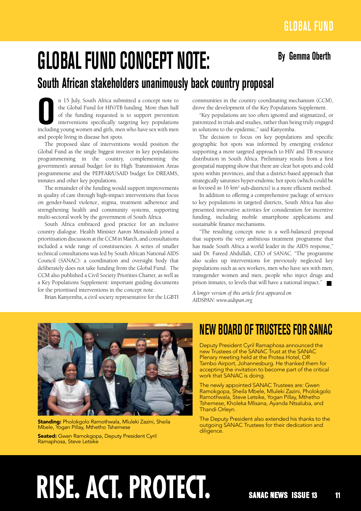## **By Gemma Oberth Global fund concept note:**

#### **South African stakeholders unanimously back country proposal**

In 15 July, South Africa submitted a concept note to the Global Fund for HIV/TB funding. More than half of the funding requested is to support prevention interventions specifically targeting key populations including young n 15 July, South Africa submitted a concept note to the Global Fund for HIV/TB funding. More than half of the funding requested is to support prevention interventions specifically targeting key populations and people living in disease hot spots.

The proposed slate of interventions would position the Global Fund as the single biggest investor in key populations programmeming in the country, complementing the government's annual budget for its High Transmission Areas programmeme and the PEPFAR/USAID budget for DREAMS, inmates and other key populations.

The remainder of the funding would support improvements in quality of care through high-impact interventions that focus on gender-based violence, stigma, treatment adherence and strengthening health and community systems, supporting multi-sectoral work by the government of South Africa.

South Africa embraced good practice for an inclusive country dialogue. Health Minister Aaron Motsoaledi joined a prioritisation discussion at the CCM in March, and consultations included a wide range of constituencies. A series of smaller technical consultations was led by South African National AIDS Council (SANAC): a coordination and oversight body that deliberately does not take funding from the Global Fund. The CCM also published a Civil Society Priorities Charter, as well as a Key Populations Supplement: important guiding documents for the prioritised interventions in the concept note.

Brian Kanyemba, a civil society representative for the LGBTI

communities in the country coordinating mechanism (CCM), drove the development of the Key Populations Supplement.

"Key populations are too often ignored and stigmatized, or patronized in trials and studies, rather than being truly engaged in solutions to the epidemic," said Kanyemba.

The decision to focus on key populations and specific geographic hot spots was informed by emerging evidence supporting a more targeted approach to HIV and TB resource distribution in South Africa. Preliminary results from a first geospatial mapping show that there are clear hot spots and cold spots within provinces, and that a district-based approach that strategically saturates hyper-endemic hot spots (which could be as focused as 16 km<sup>2</sup> sub-districts) is a more efficient method.

In addition to offering a comprehensive package of services to key populations in targeted districts, South Africa has also presented innovative activities for consideration for incentive funding, including mobile smartphone applications and sustainable finance mechanisms.

"The resulting concept note is a well-balanced proposal that supports the very ambitious treatment programme that has made South Africa a world leader in the AIDS response," said Dr. Fareed Abdullah, CEO of SANAC. "The programme also scales up interventions for previously neglected key populations such as sex workers, men who have sex with men, transgender women and men, people who inject drugs and prison inmates, to levels that will have a national impact."  $\blacksquare$ 

*A longer version of this article first appeared on AIDSPAN: www.aidspan.org*



Standing: Pholokgolo Ramothwala, Mluleki Zazini, Sheila Mbele, Yogan Pillay, Mthetho Tshemese

Seated: Gwen Ramokgopa, Deputy President Cyril Ramaphosa, Steve Letsike

#### **new Board of Trustees FOR SANAC**

Deputy President Cyril Ramaphosa announced the new Trustees of the SANAC Trust at the SANAC Plenary meeting held at the Protea Hotel, OR Tambo Airport, Johannesburg. He thanked them for accepting the invitation to become part of the critical work that SANAC is doing.

The newly appointed SANAC Trustees are: Gwen Ramokgopa, Sheila Mbele, Mluleki Zazini, Pholokgolo Ramothwala, Steve Letsike, Yogan Pillay, Mthetho Tshemese, Kholeka Mlisana, Ayanda Ntsaluba, and Thandi Orleyn.

The Deputy President also extended his thanks to the outgoing SANAC Trustees for their dedication and diligence.